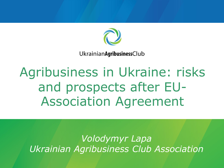

UkrainianAgribusinessClub

Agribusiness in Ukraine: risks and prospects after EU-Association Agreement

*Volodymyr Lapa Ukrainian Agribusiness Club Association*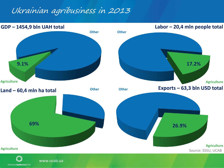### Ukrainian agribusiness in 2013

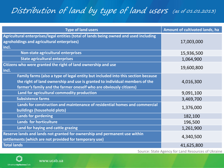### Distribution of land by type of land users (as of 01.01.2013)

| <b>Type of land users</b>                                                                                                                                                                                                             | Amount of cultivated lands, ha |
|---------------------------------------------------------------------------------------------------------------------------------------------------------------------------------------------------------------------------------------|--------------------------------|
| Agricultural enterprises/legal entities (total of lands being owned and used including<br>agroholdings and agricultural enterprises)<br>incl.                                                                                         | 17,003,000                     |
| Non-state agricultural enterprises                                                                                                                                                                                                    | 15,936,500                     |
| <b>State agricultural enterprises</b>                                                                                                                                                                                                 | 1,064,900                      |
| Citizens who were granted the right of land ownership and use<br>incl.                                                                                                                                                                | 19,600,800                     |
| Family farms (also a type of legal entity but included into this section because<br>the right of land ownership and use is granted to individual members of the<br>farmer's family and the farmer oneself who are obviously citizens) | 4,016,300                      |
| Land for agricultural commodity production                                                                                                                                                                                            | 9,091,100                      |
| <b>Subsistence farms</b>                                                                                                                                                                                                              | 3,469,700                      |
| Lands for construction and maintenance of residential homes and commercial<br>buildings (household plots)                                                                                                                             | 1,376,000                      |
| <b>Lands for gardening</b>                                                                                                                                                                                                            | 182,100                        |
| Lands for horticulture                                                                                                                                                                                                                | 196,500                        |
| Land for haying and cattle grazing                                                                                                                                                                                                    | 1,261,900                      |
| Reserve lands and lands not granted for ownership and permanent use within<br>settlements (which are not provided for temporary use)                                                                                                  | 4,340,500                      |
| <b>Total lands</b>                                                                                                                                                                                                                    | 41,625,800                     |

Source: State Agency for Land Resources of Ukraine

 $\mathbb{O}$ UkrainianAgribusinessClub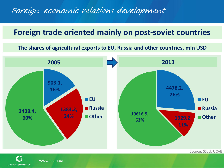### Foreign-economic relations development

### **Foreign trade oriented mainly on post-soviet countries**

**The shares of agricultural exports to EU, Russia and other countries, mln USD**



 $\widehat{(\Lambda)}$ UkrainianAgribusinessClub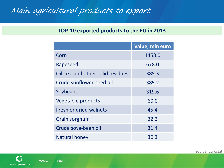## Main agricultural products to export

#### **TOP-10 exported products to the EU in 2013**

|                                  | Value, mln euro |  |
|----------------------------------|-----------------|--|
| Corn                             | 1453.0          |  |
| Rapeseed                         | 678.0           |  |
| Oilcake and other solid residues | 385.3           |  |
| Crude sunflower-seed oil         | 385.2           |  |
| Soybeans                         | 319.6           |  |
| Vegetable products               | 60.0            |  |
| Fresh or dried walnuts           | 45.4            |  |
| Grain sorghum                    | 32.2            |  |
| Crude soya-bean oil              | 31.4            |  |
| Natural honey                    | 30.3            |  |

Source: Eurostat

 $\mathbb{O}$ UkrainianAgribusinessClub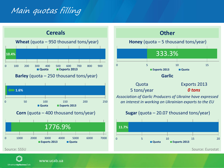### Main quotas filling





UkrainianAgribusinessClub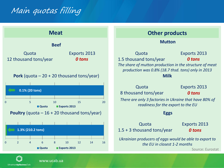### Main quotas filling

![](_page_6_Figure_1.jpeg)

UkrainianAgribusinessClub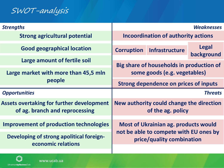### SWOT-analysis

| <b>Strengths</b>                                                                   |                                            |                                                                     | <b>Weaknesses</b>          |
|------------------------------------------------------------------------------------|--------------------------------------------|---------------------------------------------------------------------|----------------------------|
| <b>Strong agricultural potential</b>                                               | <b>Incoordination of authority actions</b> |                                                                     |                            |
| <b>Good geographical location</b>                                                  | <b>Corruption</b>                          | <b>Infrastructure</b>                                               | <b>Legal</b><br>background |
| Large amount of fertile soil                                                       | Big share of households in production of   |                                                                     |                            |
| Large market with more than 45,5 mln                                               | some goods (e.g. vegetables)               |                                                                     |                            |
| people                                                                             | Strong dependence on prices of inputs      |                                                                     |                            |
|                                                                                    |                                            |                                                                     |                            |
| <b>Opportunities</b>                                                               |                                            |                                                                     | <b>Threats</b>             |
| <b>Assets overtaking for further development</b><br>of ag. branch and reprocessing |                                            | New authority could change the direction<br>of the ag. policy       |                            |
| <b>Improvement of production technologies</b>                                      |                                            | Most of Ukrainian ag. products would                                |                            |
| Developing of strong apolitical foreign-<br>economic relations                     |                                            | not be able to compete with EU ones by<br>price/quality combination |                            |

![](_page_7_Picture_2.jpeg)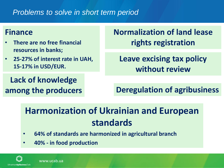#### *Problems to solve in short term period*

#### **Finance**

- **There are no free financial resources in banks;**
- **25-27% of interest rate in UAH, 15-17% in USD/EUR.**

**Lack of knowledge** 

**Normalization of land lease rights registration**

**Leave excising tax policy without review**

**among the producers Deregulation of agribusiness**

## **Harmonization of Ukrainian and European standards**

- **64% of standards are harmonized in agricultural branch**
- **40% - in food production**

UkrainianAgribusinessClub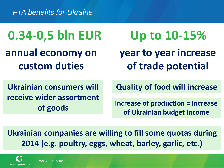*FTA benefits for Ukraine*

**0.34-0,5 bln EUR annual economy on custom duties**

**year to year increase of trade potential Up to 10-15%**

**Ukrainian consumers will receive wider assortment of goods** 

**Quality of food will increase**

**Increase of production = increase of Ukrainian budget income** 

**Ukrainian companies are willing to fill some quotas during 2014 (e.g. poultry, eggs, wheat, barley, garlic, etc.)** 

![](_page_9_Picture_7.jpeg)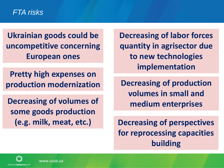#### *FTA risks*

**Ukrainian goods could be uncompetitive concerning European ones** 

**Pretty high expenses on production modernization** 

**Decreasing of volumes of some goods production (e.g. milk, meat, etc.)**

**Decreasing of labor forces quantity in agrisector due to new technologies implementation**

**Decreasing of production volumes in small and medium enterprises**

**Decreasing of perspectives for reprocessing capacities building**

![](_page_10_Picture_7.jpeg)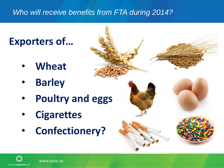### *Who will receive benefits from FTA during 2014?*

## **Exporters of…**

- **Wheat**
- **Barley**
- **Poultry and eggs**
- **Cigarettes**
- **Confectionery?**

![](_page_11_Picture_7.jpeg)